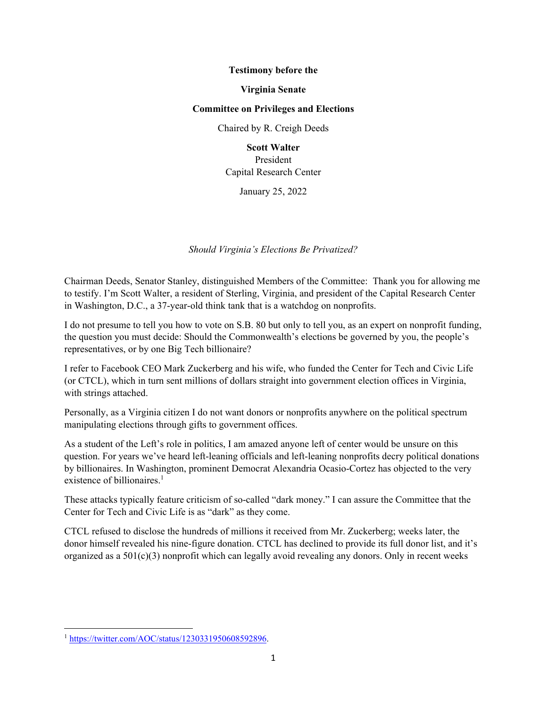### **Testimony before the**

#### **Virginia Senate**

#### **Committee on Privileges and Elections**

Chaired by R. Creigh Deeds

**Scott Walter** President

Capital Research Center

January 25, 2022

*Should Virginia's Elections Be Privatized?* 

Chairman Deeds, Senator Stanley, distinguished Members of the Committee: Thank you for allowing me to testify. I'm Scott Walter, a resident of Sterling, Virginia, and president of the Capital Research Center in Washington, D.C., a 37-year-old think tank that is a watchdog on nonprofits.

I do not presume to tell you how to vote on S.B. 80 but only to tell you, as an expert on nonprofit funding, the question you must decide: Should the Commonwealth's elections be governed by you, the people's representatives, or by one Big Tech billionaire?

I refer to Facebook CEO Mark Zuckerberg and his wife, who funded the Center for Tech and Civic Life (or CTCL), which in turn sent millions of dollars straight into government election offices in Virginia, with strings attached.

Personally, as a Virginia citizen I do not want donors or nonprofits anywhere on the political spectrum manipulating elections through gifts to government offices.

As a student of the Left's role in politics, I am amazed anyone left of center would be unsure on this question. For years we've heard left-leaning officials and left-leaning nonprofits decry political donations by billionaires. In Washington, prominent Democrat Alexandria Ocasio-Cortez has objected to the very existence of billionaires.<sup>1</sup>

These attacks typically feature criticism of so-called "dark money." I can assure the Committee that the Center for Tech and Civic Life is as "dark" as they come.

CTCL refused to disclose the hundreds of millions it received from Mr. Zuckerberg; weeks later, the donor himself revealed his nine-figure donation. CTCL has declined to provide its full donor list, and it's organized as a 501(c)(3) nonprofit which can legally avoid revealing any donors. Only in recent weeks

<sup>1</sup> https://twitter.com/AOC/status/1230331950608592896.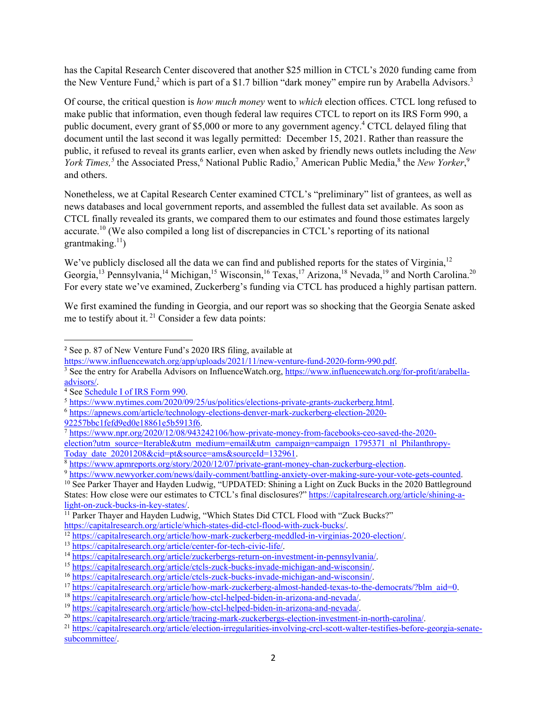has the Capital Research Center discovered that another \$25 million in CTCL's 2020 funding came from the New Venture Fund,<sup>2</sup> which is part of a \$1.7 billion "dark money" empire run by Arabella Advisors.<sup>3</sup>

Of course, the critical question is *how much money* went to *which* election offices. CTCL long refused to make public that information, even though federal law requires CTCL to report on its IRS Form 990, a public document, every grant of \$5,000 or more to any government agency.<sup>4</sup> CTCL delayed filing that document until the last second it was legally permitted: December 15, 2021. Rather than reassure the public, it refused to reveal its grants earlier, even when asked by friendly news outlets including the *New*  York Times,<sup>5</sup> the Associated Press,<sup>6</sup> National Public Radio,<sup>7</sup> American Public Media,<sup>8</sup> the *New Yorker*,<sup>9</sup> and others.

Nonetheless, we at Capital Research Center examined CTCL's "preliminary" list of grantees, as well as news databases and local government reports, and assembled the fullest data set available. As soon as CTCL finally revealed its grants, we compared them to our estimates and found those estimates largely accurate.<sup>10</sup> (We also compiled a long list of discrepancies in CTCL's reporting of its national grantmaking. $^{11}$ )

We've publicly disclosed all the data we can find and published reports for the states of Virginia,<sup>12</sup> Georgia,<sup>13</sup> Pennsylvania,<sup>14</sup> Michigan,<sup>15</sup> Wisconsin,<sup>16</sup> Texas,<sup>17</sup> Arizona,<sup>18</sup> Nevada,<sup>19</sup> and North Carolina.<sup>20</sup> For every state we've examined, Zuckerberg's funding via CTCL has produced a highly partisan pattern.

We first examined the funding in Georgia, and our report was so shocking that the Georgia Senate asked me to testify about it.  $21$  Consider a few data points:

<sup>3</sup> See the entry for Arabella Advisors on InfluenceWatch.org, https://www.influencewatch.org/for-profit/arabellaadvisors/.<br><sup>4</sup> See Schedule I of IRS Form 990.

<sup>2</sup> See p. 87 of New Venture Fund's 2020 IRS filing, available at

https://www.influencewatch.org/app/uploads/2021/11/new-venture-fund-2020-form-990.pdf.

<sup>&</sup>lt;sup>5</sup> https://www.nytimes.com/2020/09/25/us/politics/elections-private-grants-zuckerberg.html.<br>
<sup>6</sup> https://apnews.com/article/technology-elections-denver-mark-zuckerberg-election-2020-<br>92257bbc1fefd9ed0e18861e5b5913f6.

 $\frac{1}{7}$ https://www.npr.org/2020/12/08/943242106/how-private-money-from-facebooks-ceo-saved-the-2020-

election?utm\_source=Iterable&utm\_medium=email&utm\_campaign=campaign\_1795371\_nl\_Philanthropy-<br>Today\_date\_20201208&cid=pt&source=ams&sourceId=132961.

 $\frac{8 \text{ https://www.apmerports.org/story/2020/12/07/private-grant-money-chain-zuckerburg-election.}}{\frac{9 \text{ https://www.newyorker.com/news/daily-comment/batting-anxiety-over-making-sure-your-vote-gets-counted.}}{\text{Sets/www.newyorker.com/news/daily-comment/batting-anxiety-over-making-sure-your-vote-gets-counted.}}$ 

States: How close were our estimates to CTCL's final disclosures?" https://capitalresearch.org/article/shining-a-<br>light-on-zuck-bucks-in-key-states/.

<sup>&</sup>lt;sup>11</sup> Parker Thayer and Hayden Ludwig, "Which States Did CTCL Flood with "Zuck Bucks?"

https://capitalresearch.org/article/which-states-did-ctcl-flood-with-zuck-bucks/.<br>
<sup>12</sup> https://capitalresearch.org/article/how-mark-zuckerberg-meddled-in-virginias-2020-election/.<br>
<sup>13</sup> https://capitalresearch.org/article

subcommittee/.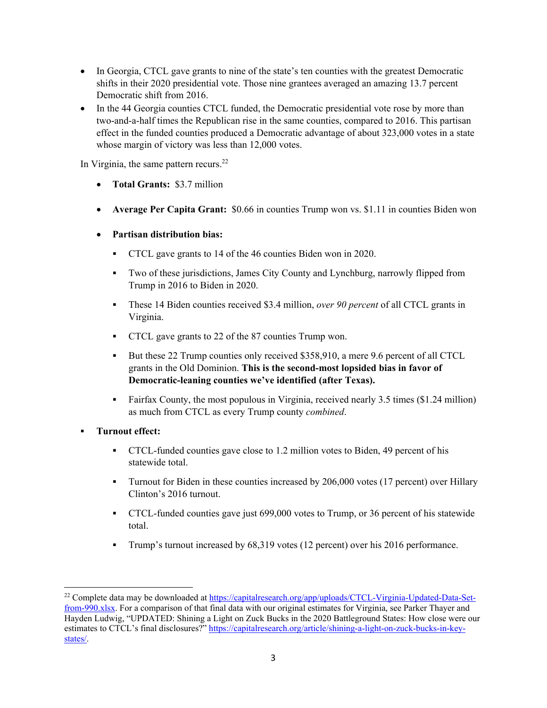- In Georgia, CTCL gave grants to nine of the state's ten counties with the greatest Democratic shifts in their 2020 presidential vote. Those nine grantees averaged an amazing 13.7 percent Democratic shift from 2016.
- In the 44 Georgia counties CTCL funded, the Democratic presidential vote rose by more than two-and-a-half times the Republican rise in the same counties, compared to 2016. This partisan effect in the funded counties produced a Democratic advantage of about 323,000 votes in a state whose margin of victory was less than 12,000 votes.

In Virginia, the same pattern recurs. $^{22}$ 

- **Total Grants:** \$3.7 million
- **Average Per Capita Grant:** \$0.66 in counties Trump won vs. \$1.11 in counties Biden won
- **Partisan distribution bias:**
	- CTCL gave grants to 14 of the 46 counties Biden won in 2020.
	- Two of these jurisdictions, James City County and Lynchburg, narrowly flipped from Trump in 2016 to Biden in 2020.
	- These 14 Biden counties received \$3.4 million, *over 90 percent* of all CTCL grants in Virginia.
	- **CTCL** gave grants to 22 of the 87 counties Trump won.
	- But these 22 Trump counties only received \$358,910, a mere 9.6 percent of all CTCL grants in the Old Dominion. **This is the second-most lopsided bias in favor of Democratic-leaning counties we've identified (after Texas).**
	- Fairfax County, the most populous in Virginia, received nearly 3.5 times (\$1.24 million) as much from CTCL as every Trump county *combined*.
- **Turnout effect:**
	- CTCL-funded counties gave close to 1.2 million votes to Biden, 49 percent of his statewide total.
	- **Turnout for Biden in these counties increased by 206,000 votes (17 percent) over Hillary** Clinton's 2016 turnout.
	- CTCL-funded counties gave just 699,000 votes to Trump, or 36 percent of his statewide total.
	- Trump's turnout increased by 68,319 votes (12 percent) over his 2016 performance.

<sup>&</sup>lt;sup>22</sup> Complete data may be downloaded at https://capitalresearch.org/app/uploads/CTCL-Virginia-Updated-Data-Setfrom-990.xlsx. For a comparison of that final data with our original estimates for Virginia, see Parker Thayer and Hayden Ludwig, "UPDATED: Shining a Light on Zuck Bucks in the 2020 Battleground States: How close were our estimates to CTCL's final disclosures?" https://capitalresearch.org/article/shining-a-light-on-zuck-bucks-in-keystates/.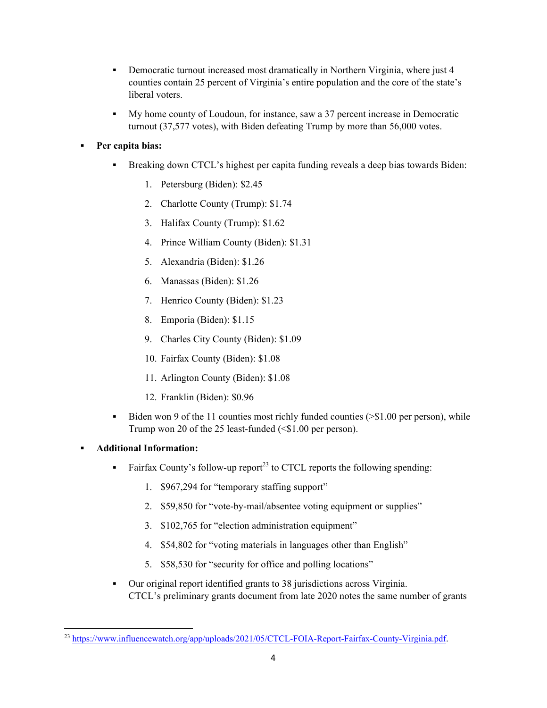- Democratic turnout increased most dramatically in Northern Virginia, where just 4 counties contain 25 percent of Virginia's entire population and the core of the state's liberal voters.
- My home county of Loudoun, for instance, saw a 37 percent increase in Democratic turnout (37,577 votes), with Biden defeating Trump by more than 56,000 votes.

# **Per capita bias:**

- Breaking down CTCL's highest per capita funding reveals a deep bias towards Biden:
	- 1. Petersburg (Biden): \$2.45
	- 2. Charlotte County (Trump): \$1.74
	- 3. Halifax County (Trump): \$1.62
	- 4. Prince William County (Biden): \$1.31
	- 5. Alexandria (Biden): \$1.26
	- 6. Manassas (Biden): \$1.26
	- 7. Henrico County (Biden): \$1.23
	- 8. Emporia (Biden): \$1.15
	- 9. Charles City County (Biden): \$1.09
	- 10. Fairfax County (Biden): \$1.08
	- 11. Arlington County (Biden): \$1.08
	- 12. Franklin (Biden): \$0.96
- Biden won 9 of the 11 counties most richly funded counties  $(>\$1.00$  per person), while Trump won 20 of the 25 least-funded (<\$1.00 per person).

## **Additional Information:**

- Fairfax County's follow-up report<sup>23</sup> to CTCL reports the following spending:
	- 1. \$967,294 for "temporary staffing support"
	- 2. \$59,850 for "vote-by-mail/absentee voting equipment or supplies"
	- 3. \$102,765 for "election administration equipment"
	- 4. \$54,802 for "voting materials in languages other than English"
	- 5. \$58,530 for "security for office and polling locations"
- Our original report identified grants to 38 jurisdictions across Virginia. CTCL's preliminary grants document from late 2020 notes the same number of grants

<sup>&</sup>lt;sup>23</sup> https://www.influencewatch.org/app/uploads/2021/05/CTCL-FOIA-Report-Fairfax-County-Virginia.pdf.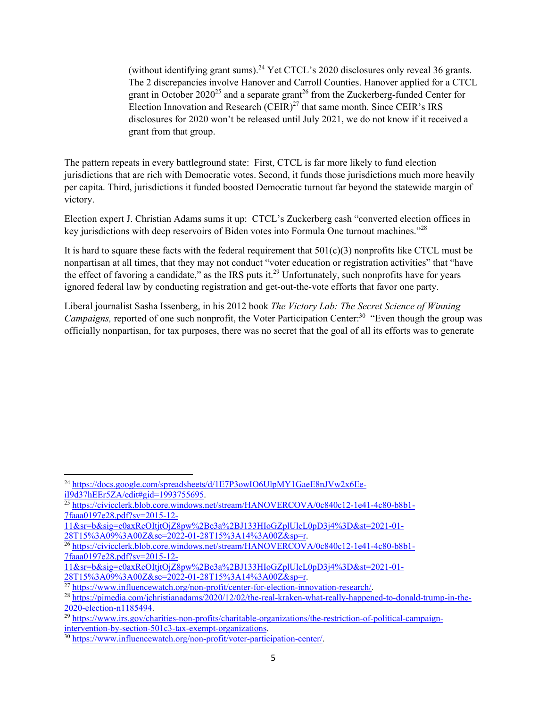(without identifying grant sums).<sup>24</sup> Yet CTCL's 2020 disclosures only reveal 36 grants. The 2 discrepancies involve Hanover and Carroll Counties. Hanover applied for a CTCL grant in October  $2020^{25}$  and a separate grant<sup>26</sup> from the Zuckerberg-funded Center for Election Innovation and Research  $(CEIR)^{27}$  that same month. Since CEIR's IRS disclosures for 2020 won't be released until July 2021, we do not know if it received a grant from that group.

The pattern repeats in every battleground state: First, CTCL is far more likely to fund election jurisdictions that are rich with Democratic votes. Second, it funds those jurisdictions much more heavily per capita. Third, jurisdictions it funded boosted Democratic turnout far beyond the statewide margin of victory.

Election expert J. Christian Adams sums it up: CTCL's Zuckerberg cash "converted election offices in key jurisdictions with deep reservoirs of Biden votes into Formula One turnout machines."<sup>28</sup>

It is hard to square these facts with the federal requirement that  $501(c)(3)$  nonprofits like CTCL must be nonpartisan at all times, that they may not conduct "voter education or registration activities" that "have the effect of favoring a candidate," as the IRS puts it.<sup>29</sup> Unfortunately, such nonprofits have for years ignored federal law by conducting registration and get-out-the-vote efforts that favor one party.

Liberal journalist Sasha Issenberg, in his 2012 book *The Victory Lab: The Secret Science of Winning Campaigns, reported of one such nonprofit, the Voter Participation Center:*<sup>30</sup> "Even though the group was officially nonpartisan, for tax purposes, there was no secret that the goal of all its efforts was to generate

<sup>&</sup>lt;sup>24</sup> https://docs.google.com/spreadsheets/d/1E7P3owIO6UlpMY1GaeE8nJVw2x6Ee-<br>iI9d37hEEr5ZA/edit#gid=1993755695.

 $\frac{25}{25}$ https://civicclerk.blob.core.windows.net/stream/HANOVERCOVA/0c840c12-1e41-4c80-b8b1-7faaa0197e28.pdf?sv=2015-12-

<sup>11&</sup>amp;sr=b&sig=c0axRcOItjtOjZ8pw%2Be3a%2BJ133HIoGZplUleL0pD3j4%3D&st=2021-01-<br>28T15%3A09%3A00Z&se=2022-01-28T15%3A14%3A00Z&sp=r.

<sup>&</sup>lt;sup>26</sup> https://civicclerk.blob.core.windows.net/stream/HANOVERCOVA/0c840c12-1e41-4c80-b8b1-7faaa0197e28.pdf?sv=2015-12-

<sup>11&</sup>amp;sr=b&sig=c0axRcOItjtOjZ8pw%2Be3a%2BJ133HIoGZplUleL0pD3j4%3D&st=2021-01-<br>28T15%3A09%3A00Z&se=2022-01-28T15%3A14%3A00Z&sp=r.

 $\frac{27 \text{ https://www.influencewatch.org/non-profit/center-for-electron-innovation-research/}}{28 \text{ https://pimedia.com/ichristianadams/2020/12/02/the-real-kraken-what-reallv-hanpened-to-donald-trump-in-the-}$ 

<sup>2020-</sup>election-n1185494. 29 https://www.irs.gov/charities-non-profits/charitable-organizations/the-restriction-of-political-campaign-

intervention-by-section-501c3-tax-exempt-organizations. 30 https://www.influencewatch.org/non-profit/voter-participation-center/.